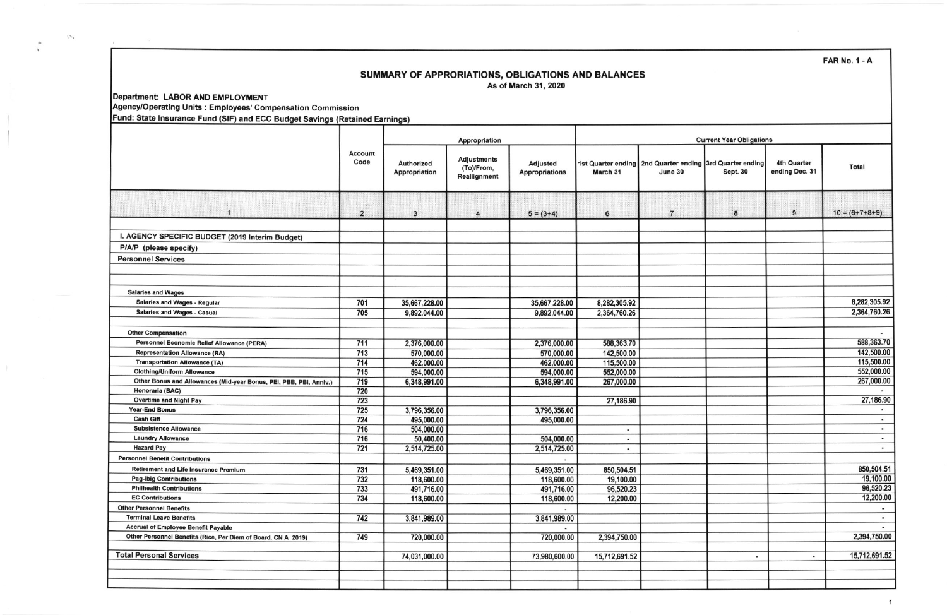**FAR No. 1 - A** 

## SUMMARY OF APPRORIATIONS, OBLIGATIONS AND BALANCES As of March 31, 2020

Department: LABOR AND EMPLOYMENT

 $\mathcal{G}^{\varepsilon_{\varepsilon}}$ 

Agency/Operating Units : Employees' Compensation Commission

Fund: State Insurance Fund (SIF) and ECC Budget Savings (Retained Earnings)

|                                                                    | <b>Account</b><br>Code | Appropriation               |                                                  |                                          | <b>Current Year Obligations</b>            |                                                                     |                  |                               |                          |
|--------------------------------------------------------------------|------------------------|-----------------------------|--------------------------------------------------|------------------------------------------|--------------------------------------------|---------------------------------------------------------------------|------------------|-------------------------------|--------------------------|
|                                                                    |                        | Authorized<br>Appropriation | <b>Adjustments</b><br>(To)/From,<br>Reallignment | <b>Adjusted</b><br><b>Appropriations</b> | March 31                                   | 1st Quarter ending 2nd Quarter ending 3rd Quarter ending<br>June 30 | Sept. 30         | 4th Quarter<br>ending Dec. 31 | <b>Total</b>             |
| $\vert$ 1                                                          | $\overline{2}$         | $\mathbf{3}$                | $\overline{\mathbf{4}}$                          | $5 = (3+4)$                              | 6                                          | $\overline{7}$                                                      | $\boldsymbol{8}$ | 9                             | $10 = (6+7+8+9)$         |
| I. AGENCY SPECIFIC BUDGET (2019 Interim Budget)                    |                        |                             |                                                  |                                          |                                            |                                                                     |                  |                               |                          |
| P/A/P (please specify)                                             |                        |                             |                                                  |                                          |                                            |                                                                     |                  |                               |                          |
| <b>Personnel Services</b>                                          |                        |                             |                                                  |                                          |                                            |                                                                     |                  |                               |                          |
|                                                                    |                        |                             |                                                  |                                          |                                            |                                                                     |                  |                               |                          |
| <b>Salaries and Wages</b>                                          |                        |                             |                                                  |                                          |                                            |                                                                     |                  |                               |                          |
| <b>Salaries and Wages - Regular</b>                                | 701                    | 35,667,228.00               |                                                  | 35,667,228.00                            | 8,282,305.92                               |                                                                     |                  |                               | 8,282,305.92             |
| <b>Salaries and Wages - Casual</b>                                 | 705                    | 9.892.044.00                |                                                  | 9,892,044.00                             | 2,364,760.26                               |                                                                     |                  |                               | 2,364,760.26             |
| <b>Other Compensation</b>                                          |                        |                             |                                                  |                                          |                                            |                                                                     |                  |                               |                          |
| Personnel Economic Relief Allowance (PERA)                         | 711                    | 2,376,000.00                |                                                  | 2,376,000.00                             | 588,363.70                                 |                                                                     |                  |                               | 588,363.70               |
| <b>Representation Allowance (RA)</b>                               | 713                    | 570,000.00                  |                                                  | 570,000.00                               | 142,500.00                                 |                                                                     |                  |                               | 142,500.00               |
| <b>Transportation Allowance (TA)</b>                               | 714                    | 462,000.00                  |                                                  | 462,000.00                               | 115,500.00                                 |                                                                     |                  |                               | 115,500.00               |
| <b>Clothing/Uniform Allowance</b>                                  | 715                    | 594,000.00                  |                                                  | 594,000.00                               | 552,000.00                                 |                                                                     |                  |                               | 552,000.00               |
| Other Bonus and Allowances (Mid-year Bonus, PEI, PBB, PBI, Anniv.) | 719                    | 6,348,991.00                |                                                  | 6,348,991.00                             | 267,000.00                                 |                                                                     |                  |                               | 267,000.00               |
| Honoraria (BAC)                                                    | 720                    |                             |                                                  |                                          |                                            |                                                                     |                  |                               |                          |
| <b>Overtime and Night Pay</b>                                      | 723                    |                             |                                                  |                                          | 27,186.90                                  |                                                                     |                  |                               | 27,186.90                |
| <b>Year-End Bonus</b>                                              | 725                    | 3,796,356.00                |                                                  | 3,796,356.00                             |                                            |                                                                     |                  |                               | $\sim$                   |
| <b>Cash Gift</b><br><b>Subsistence Allowance</b>                   | 724                    | 495,000.00                  |                                                  | 495,000.00                               |                                            |                                                                     |                  |                               | $\bullet$                |
| <b>Laundry Allowance</b>                                           | 716<br>716             | 504,000.00                  |                                                  | 504.000.00                               | $\bullet$                                  |                                                                     |                  |                               | $\blacksquare$<br>$\sim$ |
| <b>Hazard Pay</b>                                                  | 721                    | 50,400.00<br>2,514,725.00   |                                                  | 2,514,725.00                             | $\blacksquare$<br>$\overline{\phantom{a}}$ |                                                                     |                  |                               | $\overline{\phantom{a}}$ |
| <b>Personnel Benefit Contributions</b>                             |                        |                             |                                                  |                                          |                                            |                                                                     |                  |                               |                          |
| Retirement and Life Insurance Premium                              | 731                    |                             |                                                  |                                          |                                            |                                                                     |                  |                               | 850,504.51               |
| <b>Pag-ibig Contributions</b>                                      | 732                    | 5,469,351.00<br>118,600.00  |                                                  | 5,469,351.00<br>118,600.00               | 850,504.51<br>19,100.00                    |                                                                     |                  |                               | 19,100.00                |
| <b>Philhealth Contributions</b>                                    | 733                    | 491,716.00                  |                                                  | 491,716.00                               | 96,520.23                                  |                                                                     |                  |                               | 96,520.23                |
| <b>EC Contributions</b>                                            | 734                    | 118,600.00                  |                                                  | 118,600.00                               | 12,200.00                                  |                                                                     |                  |                               | 12,200.00                |
| <b>Other Personnel Benefits</b>                                    |                        |                             |                                                  |                                          |                                            |                                                                     |                  |                               |                          |
| <b>Terminal Leave Benefits</b>                                     | 742                    | 3,841,989.00                |                                                  | 3,841,989.00                             |                                            |                                                                     |                  |                               | $\sim$                   |
| <b>Accrual of Employee Benefit Payable</b>                         |                        |                             |                                                  | ٠                                        |                                            |                                                                     |                  |                               |                          |
| Other Personnel Benefits (Rice, Per Diem of Board, CN A 2019)      | 749                    | 720,000.00                  |                                                  | 720,000.00                               | 2,394,750.00                               |                                                                     |                  |                               | 2,394,750.00             |
| <b>Total Personal Services</b>                                     |                        | 74,031,000.00               |                                                  | 73,980,600.00                            | 15,712,691.52                              |                                                                     | $\blacksquare$   | $\blacksquare$                | 15,712,691.52            |
|                                                                    |                        |                             |                                                  |                                          |                                            |                                                                     |                  |                               |                          |
|                                                                    |                        |                             |                                                  |                                          |                                            |                                                                     |                  |                               |                          |

 $\mathbf{1}$